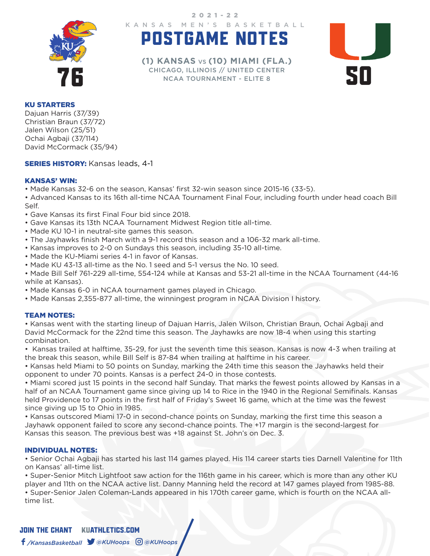

KANSAS MEN'S BASKETBALL 2021-22

# POSTGAME NOTES



THICAGO, ILLINOIS // UNITED CENTER<br>
NCAA TOURNAMENT - ELITE 8 **(1) KANSAS** VS **(10) MIAMI (FLA.)** CHICAGO, ILLINOIS // UNITED CENTER NCAA TOURNAMENT - ELITE 8

### KU STARTERS

Dajuan Harris (37/39) Christian Braun (37/72) Jalen Wilson (25/51) Ochai Agbaji (37/114) David McCormack (35/94)

## **SERIES HISTORY: Kansas leads, 4-1**

## KANSAS' WIN:

• Made Kansas 32-6 on the season, Kansas' first 32-win season since 2015-16 (33-5).

• Advanced Kansas to its 16th all-time NCAA Tournament Final Four, including fourth under head coach Bill Self.

- Gave Kansas its first Final Four bid since 2018.
- Gave Kansas its 13th NCAA Tournament Midwest Region title all-time.
- Made KU 10-1 in neutral-site games this season.
- The Jayhawks finish March with a 9-1 record this season and a 106-32 mark all-time.
- Kansas improves to 2-0 on Sundays this season, including 35-10 all-time.
- Made the KU-Miami series 4-1 in favor of Kansas.
- Made KU 43-13 all-time as the No. 1 seed and 5-1 versus the No. 10 seed.

• Made Bill Self 761-229 all-time, 554-124 while at Kansas and 53-21 all-time in the NCAA Tournament (44-16 while at Kansas).

- Made Kansas 6-0 in NCAA tournament games played in Chicago.
- Made Kansas 2,355-877 all-time, the winningest program in NCAA Division I history.

#### TEAM NOTES:

• Kansas went with the starting lineup of Dajuan Harris, Jalen Wilson, Christian Braun, Ochai Agbaji and David McCormack for the 22nd time this season. The Jayhawks are now 18-4 when using this starting combination.

• Kansas trailed at halftime, 35-29, for just the seventh time this season. Kansas is now 4-3 when trailing at the break this season, while Bill Self is 87-84 when trailing at halftime in his career.

• Kansas held Miami to 50 points on Sunday, marking the 24th time this season the Jayhawks held their opponent to under 70 points. Kansas is a perfect 24-0 in those contests.

• Miami scored just 15 points in the second half Sunday. That marks the fewest points allowed by Kansas in a half of an NCAA Tournament game since giving up 14 to Rice in the 1940 in the Regional Semifinals. Kansas held Providence to 17 points in the first half of Friday's Sweet 16 game, which at the time was the fewest since giving up 15 to Ohio in 1985.

• Kansas outscored Miami 17-0 in second-chance points on Sunday, marking the first time this season a Jayhawk opponent failed to score any second-chance points. The +17 margin is the second-largest for Kansas this season. The previous best was +18 against St. John's on Dec. 3.

#### INDIVIDUAL NOTES:

• Senior Ochai Agbaji has started his last 114 games played. His 114 career starts ties Darnell Valentine for 11th on Kansas' all-time list.

• Super-Senior Mitch Lightfoot saw action for the 116th game in his career, which is more than any other KU player and 11th on the NCAA active list. Danny Manning held the record at 147 games played from 1985-88. • Super-Senior Jalen Coleman-Lands appeared in his 170th career game, which is fourth on the NCAA alltime list.